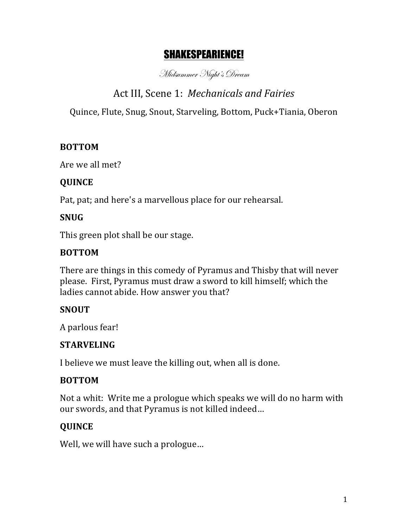# SHAKESPEARIENCE!

Midsummer Night's Dream

# Act III, Scene 1: *Mechanicals and Fairies*

Quince, Flute, Snug, Snout, Starveling, Bottom, Puck+Tiania, Oberon

#### **BOTTOM**

Are we all met?

#### **QUINCE**

Pat, pat; and here's a marvellous place for our rehearsal.

# **SNUG**

This green plot shall be our stage.

#### **BOTTOM**

There are things in this comedy of Pyramus and Thisby that will never please. First, Pyramus must draw a sword to kill himself; which the ladies cannot abide. How answer you that?

#### **SNOUT**

A parlous fear!

#### **STARVELING**

I believe we must leave the killing out, when all is done.

#### **BOTTOM**

Not a whit: Write me a prologue which speaks we will do no harm with our swords, and that Pyramus is not killed indeed...

# **QUINCE**

Well, we will have such a prologue...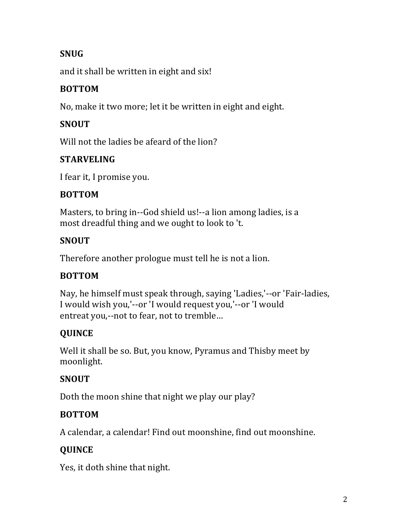# **SNUG**

and it shall be written in eight and six!

# **BOTTOM**

No, make it two more; let it be written in eight and eight.

# **SNOUT**

Will not the ladies be afeard of the lion?

# **STARVELING**

I fear it, I promise you.

#### **BOTTOM**

Masters, to bring in--God shield us!--a lion among ladies, is a most dreadful thing and we ought to look to 't.

# **SNOUT**

Therefore another prologue must tell he is not a lion.

# **BOTTOM**

Nay, he himself must speak through, saying 'Ladies,'--or 'Fair-ladies, I would wish you,'--or 'I would request you,'--or 'I would entreat you,--not to fear, not to tremble...

# **QUINCE**

Well it shall be so. But, you know, Pyramus and Thisby meet by moonlight.

# **SNOUT**

Doth the moon shine that night we play our play?

# **BOTTOM**

A calendar, a calendar! Find out moonshine, find out moonshine.

# **QUINCE**

Yes, it doth shine that night.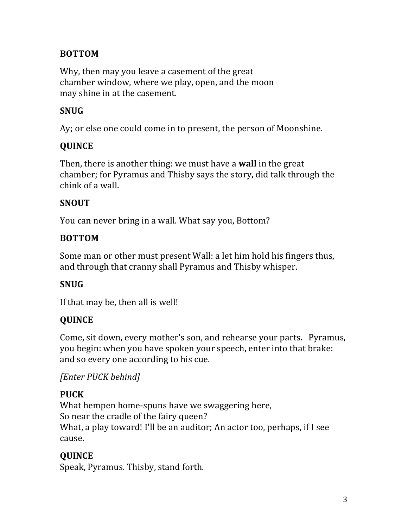### **BOTTOM**

Why, then may you leave a casement of the great chamber window, where we play, open, and the moon may shine in at the casement.

### **SNUG**

Ay; or else one could come in to present, the person of Moonshine.

# **QUINCE**

Then, there is another thing: we must have a **wall** in the great chamber; for Pyramus and Thisby says the story, did talk through the chink of a wall.

#### **SNOUT**

You can never bring in a wall. What say you, Bottom?

#### **BOTTOM**

Some man or other must present Wall: a let him hold his fingers thus, and through that cranny shall Pyramus and Thisby whisper.

#### **SNUG**

If that may be, then all is well!

#### **QUINCE**

Come, sit down, every mother's son, and rehearse your parts. Pyramus, you begin: when you have spoken your speech, enter into that brake: and so every one according to his cue.

# *[Enter PUCK behind]*

#### **PUCK**

What hempen home-spuns have we swaggering here, So near the cradle of the fairy queen? What, a play toward! I'll be an auditor; An actor too, perhaps, if I see cause.

# **QUINCE**

Speak, Pyramus. Thisby, stand forth.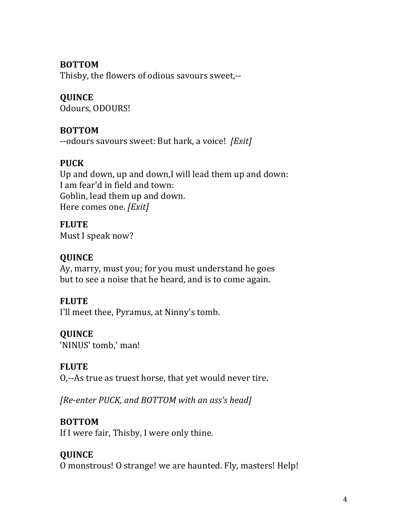#### **BOTTOM**

Thisby, the flowers of odious savours sweet,--

# **QUINCE**

Odours, ODOURS!

#### **BOTTOM**

--odours savours sweet: But hark, a voice! [Exit]

# **PUCK**

Up and down, up and down,I will lead them up and down: I am fear'd in field and town: Goblin, lead them up and down. Here comes one. *[Exit]* 

**FLUTE** Must I speak now?

#### **QUINCE**

Ay, marry, must you; for you must understand he goes but to see a noise that he heard, and is to come again.

#### **FLUTE**

I'll meet thee, Pyramus, at Ninny's tomb.

# **QUINCE**

'NINUS' tomb,' man!

#### **FLUTE**

O,--As true as truest horse, that yet would never tire.

*[Re-enter PUCK, and BOTTOM with an ass's head]* 

#### **BOTTOM**

If I were fair, Thisby, I were only thine.

# **QUINCE**

O monstrous! O strange! we are haunted. Fly, masters! Help!